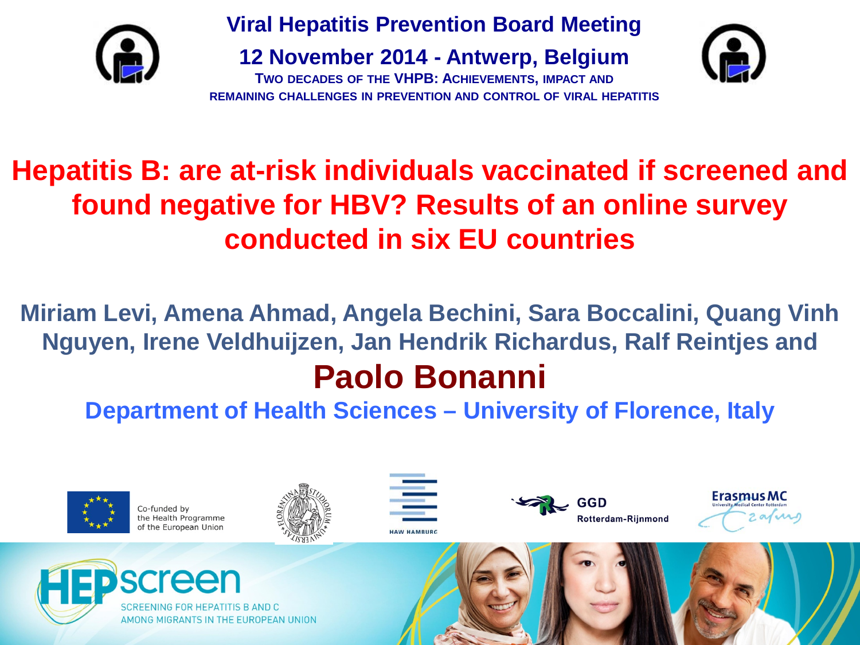

**Viral Hepatitis Prevention Board Meeting**

**12 November 2014 - Antwerp, Belgium**





#### **Hepatitis B: are at-risk individuals vaccinated if screened and found negative for HBV? Results of an online survey conducted in six EU countries**

**Miriam Levi, Amena Ahmad, Angela Bechini, Sara Boccalini, Quang Vinh Nguyen, Irene Veldhuijzen, Jan Hendrik Richardus, Ralf Reintjes and Paolo Bonanni**

**Department of Health Sciences – University of Florence, Italy**



Co-funded by the Health Programme of the European Union











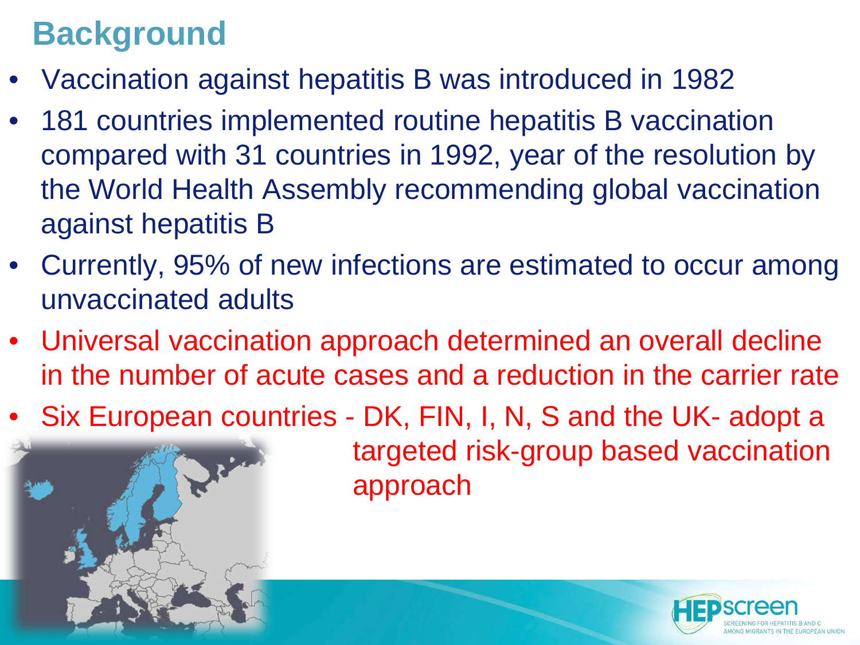#### **Background**

- Vaccination against hepatitis B was introduced in 1982
- 181 countries implemented routine hepatitis B vaccination compared with 31 countries in 1992, year of the resolution by the World Health Assembly recommending global vaccination against hepatitis B
- Currently, 95% of new infections are estimated to occur among unvaccinated adults
- Universal vaccination approach determined an overall decline in the number of acute cases and a reduction in the carrier rate
- Six European countries DK, FIN, I, N, S and the UK- adopt a

targeted risk-group based vaccination approach

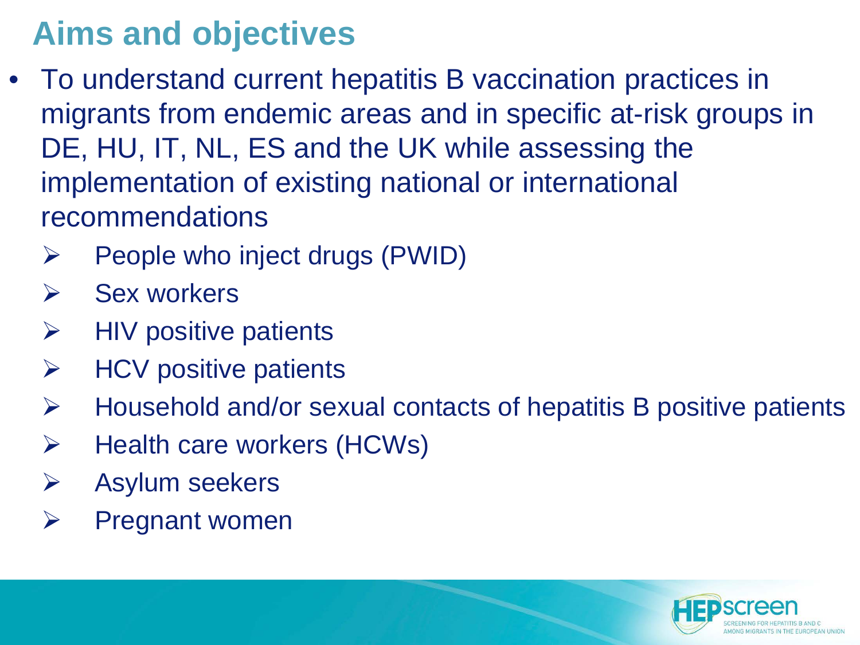#### **Aims and objectives**

- To understand current hepatitis B vaccination practices in migrants from endemic areas and in specific at-risk groups in DE, HU, IT, NL, ES and the UK while assessing the implementation of existing national or international recommendations
	- $\triangleright$  People who inject drugs (PWID)
	- $\triangleright$  Sex workers
	- $\triangleright$  HIV positive patients
	- $\triangleright$  HCV positive patients
	- $\triangleright$  Household and/or sexual contacts of hepatitis B positive patients
	- $\triangleright$  Health care workers (HCWs)
	- $\triangleright$  Asylum seekers
	- $\triangleright$  Pregnant women

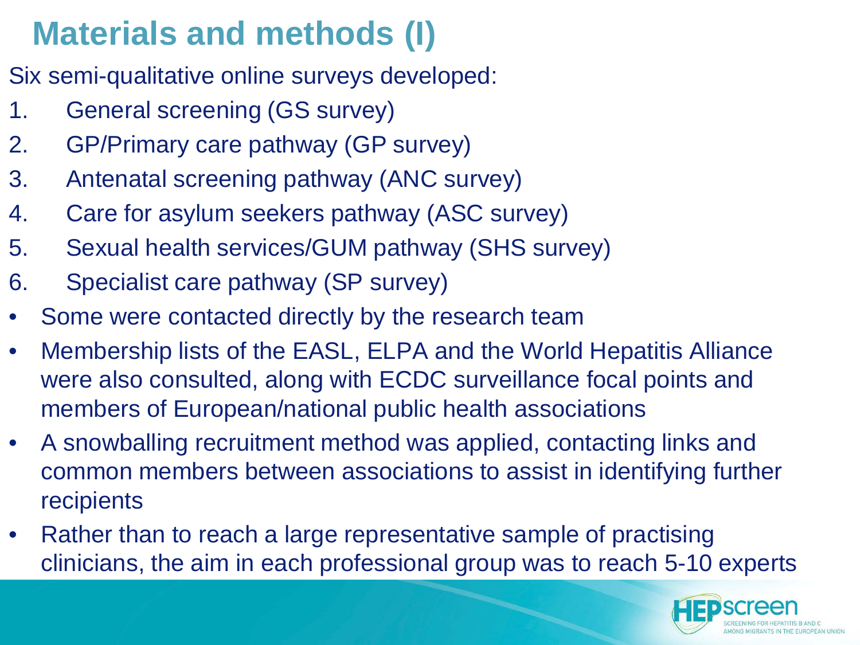# **Materials and methods (I)**

- Six semi-qualitative online surveys developed:
- 1. General screening (GS survey)
- 2. GP/Primary care pathway (GP survey)
- 3. Antenatal screening pathway (ANC survey)
- 4. Care for asylum seekers pathway (ASC survey)
- 5. Sexual health services/GUM pathway (SHS survey)
- 6. Specialist care pathway (SP survey)
- Some were contacted directly by the research team
- Membership lists of the EASL, ELPA and the World Hepatitis Alliance were also consulted, along with ECDC surveillance focal points and members of European/national public health associations
- A snowballing recruitment method was applied, contacting links and common members between associations to assist in identifying further recipients
- Rather than to reach a large representative sample of practising clinicians, the aim in each professional group was to reach 5-10 experts

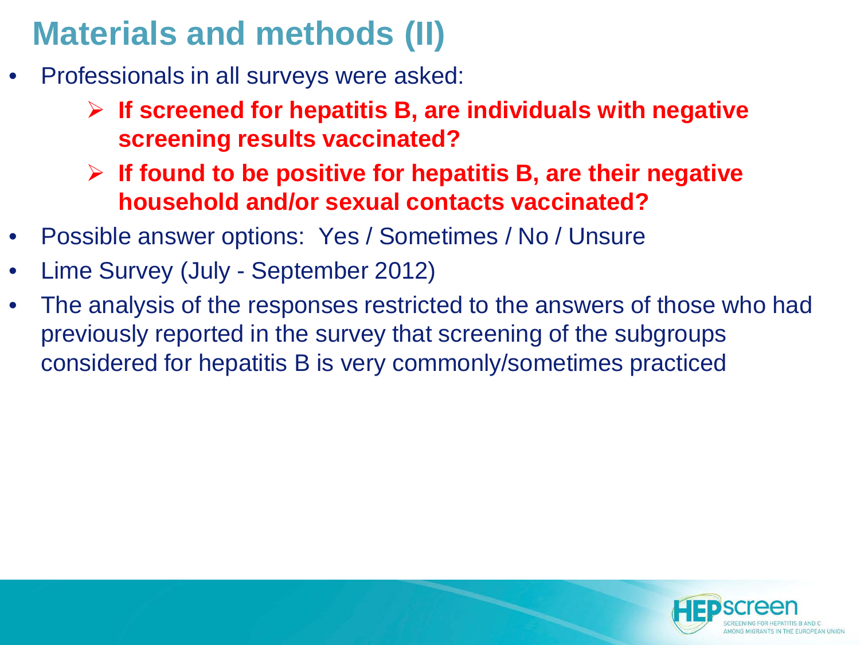#### **Materials and methods (II)**

- Professionals in all surveys were asked:
	- **If screened for hepatitis B, are individuals with negative screening results vaccinated?**
	- **If found to be positive for hepatitis B, are their negative household and/or sexual contacts vaccinated?**
- Possible answer options: Yes / Sometimes / No / Unsure
- Lime Survey (July September 2012)
- The analysis of the responses restricted to the answers of those who had previously reported in the survey that screening of the subgroups considered for hepatitis B is very commonly/sometimes practiced

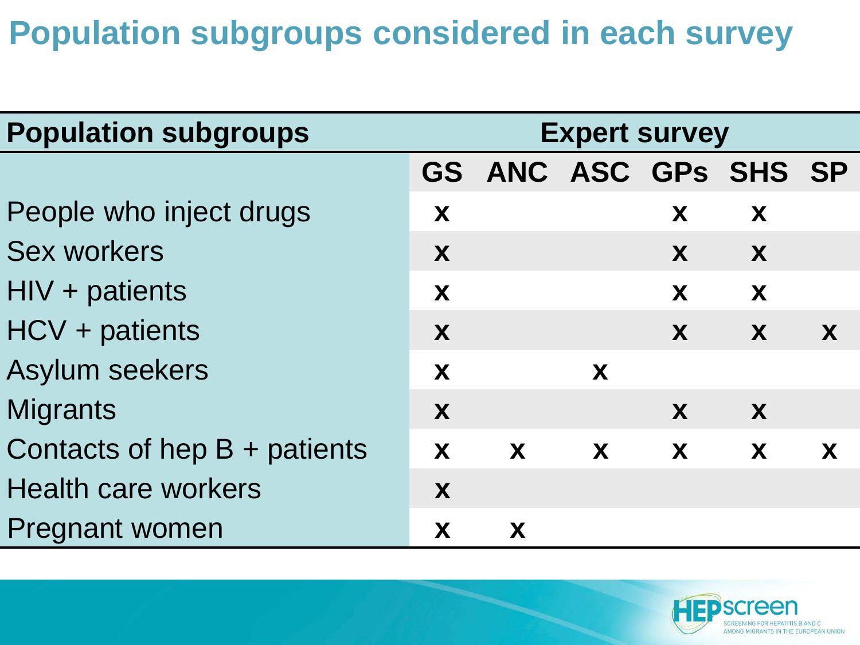#### **Population subgroups considered in each survey**

| <b>Population subgroups</b>    | <b>Expert survey</b> |                       |              |              |   |   |  |
|--------------------------------|----------------------|-----------------------|--------------|--------------|---|---|--|
|                                |                      | GS ANC ASC GPs SHS SP |              |              |   |   |  |
| People who inject drugs        | X                    |                       |              | X            | X |   |  |
| <b>Sex workers</b>             | X                    |                       |              | X            | X |   |  |
| $HIV + patients$               | X                    |                       |              | X            | X |   |  |
| HCV + patients                 | X                    |                       |              | X            | X | X |  |
| <b>Asylum seekers</b>          | X                    |                       | X            |              |   |   |  |
| <b>Migrants</b>                | X                    |                       |              | X            | X |   |  |
| Contacts of hep $B +$ patients | X                    | $\mathbf{X}$          | $\mathbf{X}$ | $\mathbf{X}$ | X | X |  |
| <b>Health care workers</b>     | X                    |                       |              |              |   |   |  |
| Pregnant women                 | X                    | X                     |              |              |   |   |  |

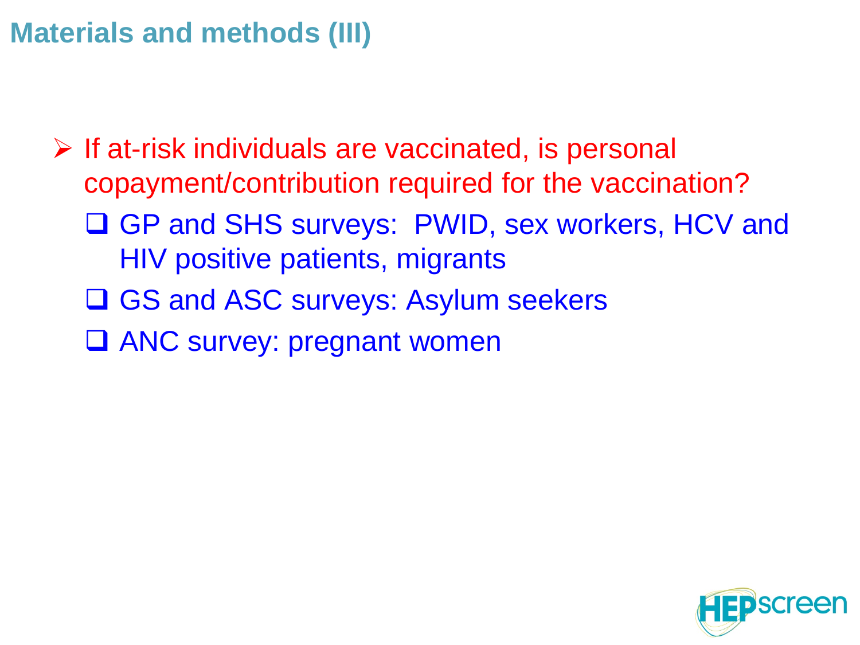#### **Materials and methods (III)**

 $\triangleright$  If at-risk individuals are vaccinated, is personal copayment/contribution required for the vaccination? □ GP and SHS surveys: PWID, sex workers, HCV and HIV positive patients, migrants **□ GS and ASC surveys: Asylum seekers** □ ANC survey: pregnant women

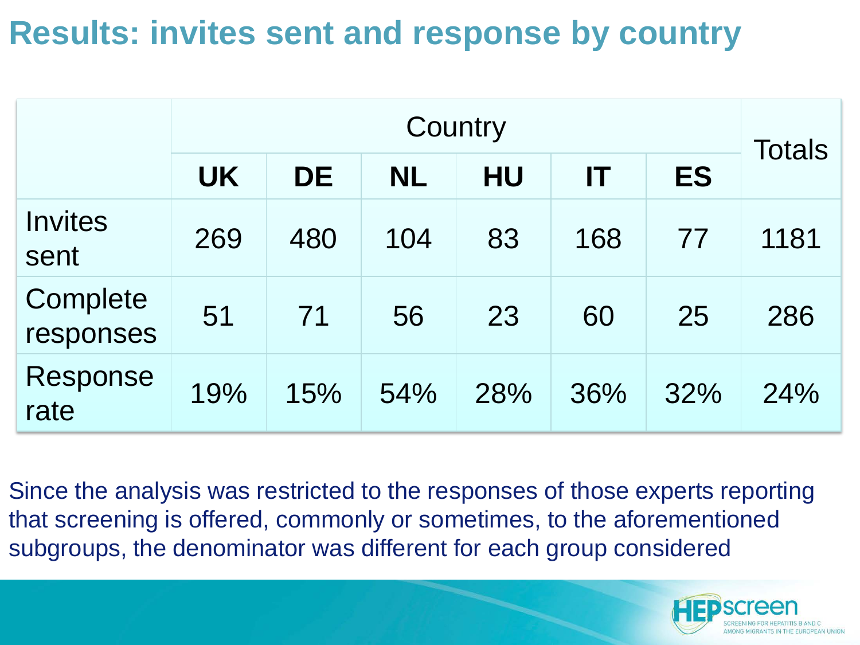#### **Results: invites sent and response by country**

|                        | Country   |           |           |           |     |           |               |  |
|------------------------|-----------|-----------|-----------|-----------|-----|-----------|---------------|--|
|                        | <b>UK</b> | <b>DE</b> | <b>NL</b> | <b>HU</b> | IT  | <b>ES</b> | <b>Totals</b> |  |
| <b>Invites</b><br>sent | 269       | 480       | 104       | 83        | 168 | 77        | 1181          |  |
| Complete<br>responses  | 51        | 71        | 56        | 23        | 60  | 25        | 286           |  |
| Response<br>rate       | 19%       | 15%       | 54%       | 28%       | 36% | 32%       | 24%           |  |

Since the analysis was restricted to the responses of those experts reporting that screening is offered, commonly or sometimes, to the aforementioned subgroups, the denominator was different for each group considered

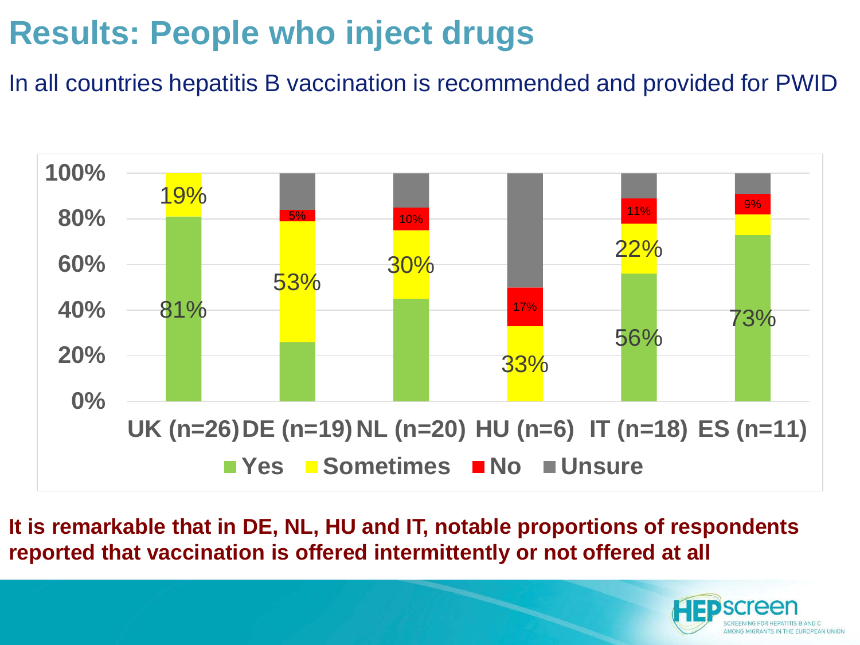# **Results: People who inject drugs**

In all countries hepatitis B vaccination is recommended and provided for PWID



**It is remarkable that in DE, NL, HU and IT, notable proportions of respondents reported that vaccination is offered intermittently or not offered at all**

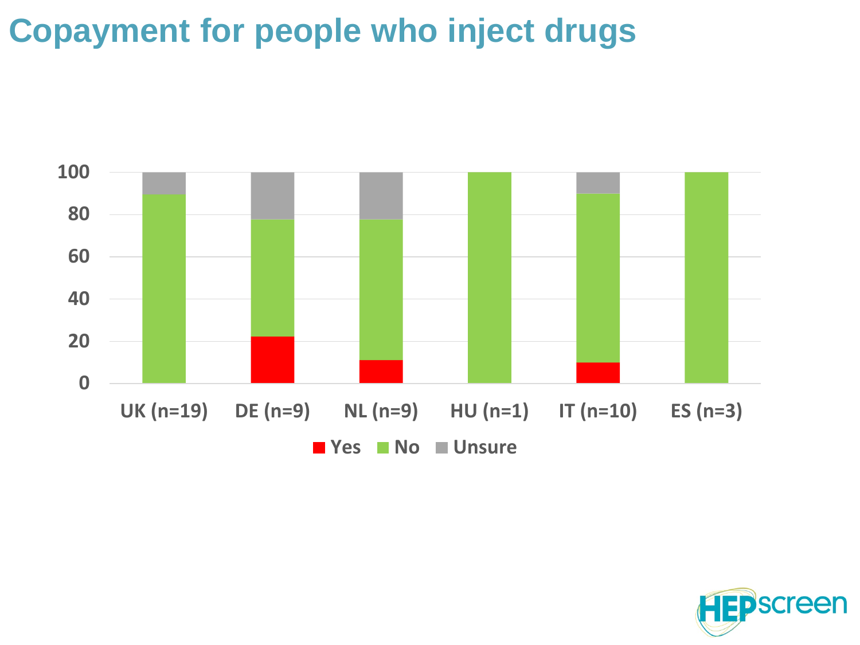#### **Copayment for people who inject drugs**



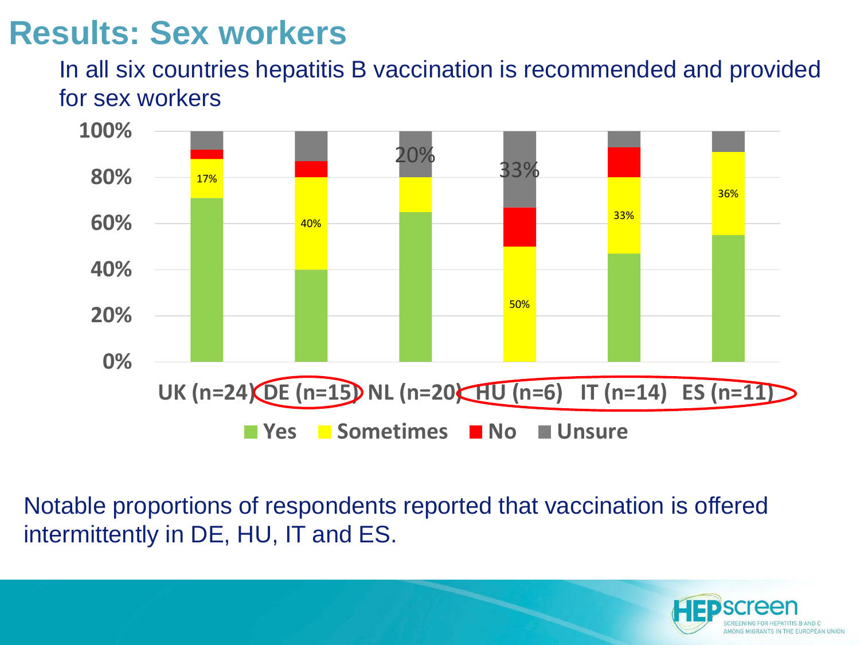#### **Results: Sex workers**

#### In all six countries hepatitis B vaccination is recommended and provided for sex workers



Notable proportions of respondents reported that vaccination is offered intermittently in DE, HU, IT and ES.

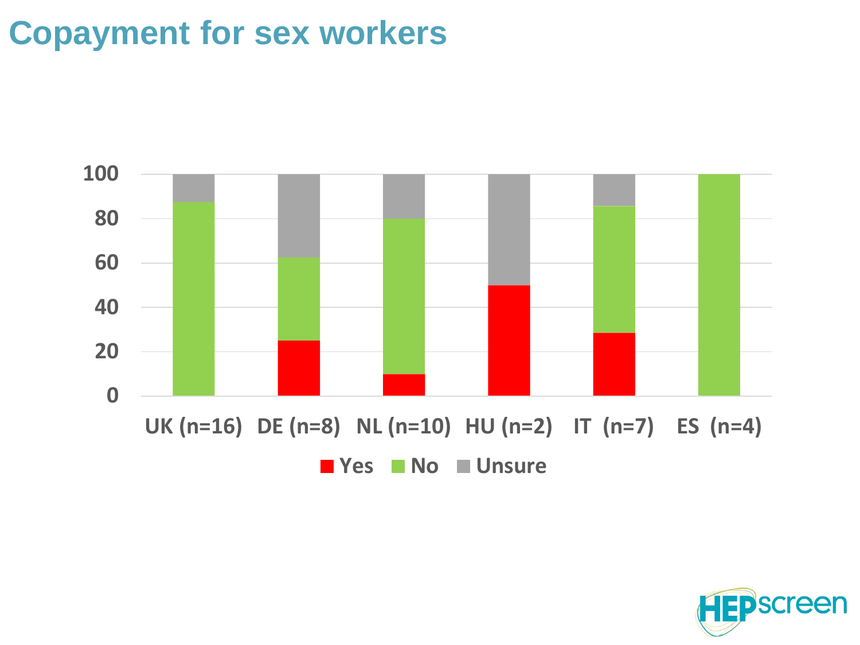#### **Copayment for sex workers**



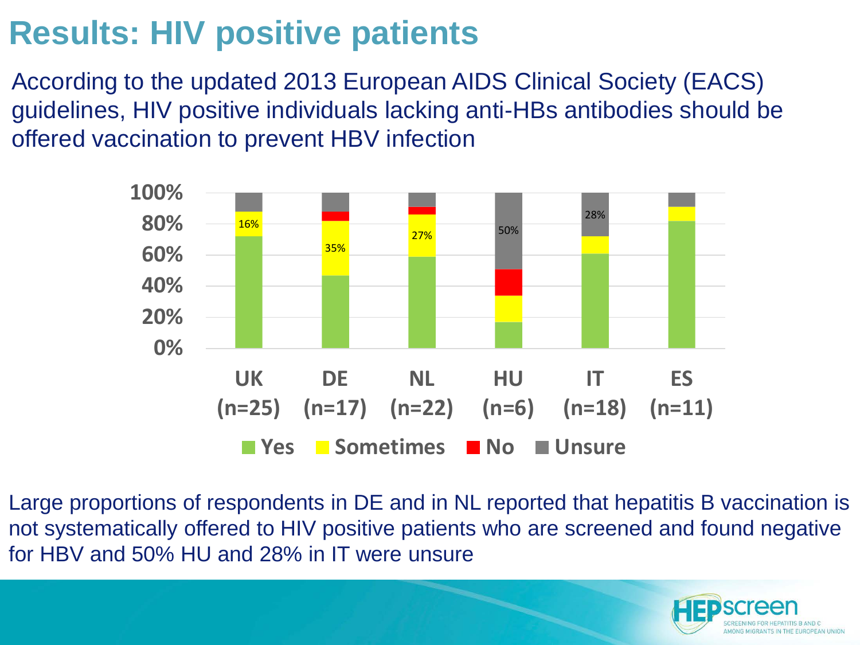# **Results: HIV positive patients**

According to the updated 2013 European AIDS Clinical Society (EACS) guidelines, HIV positive individuals lacking anti-HBs antibodies should be offered vaccination to prevent HBV infection



Large proportions of respondents in DE and in NL reported that hepatitis B vaccination is not systematically offered to HIV positive patients who are screened and found negative for HBV and 50% HU and 28% in IT were unsure

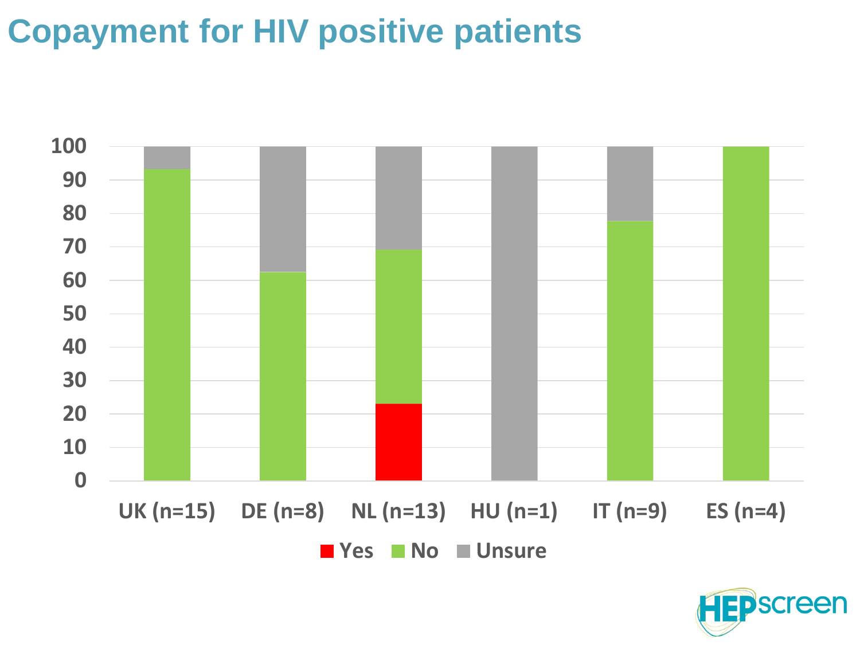#### **Copayment for HIV positive patients**



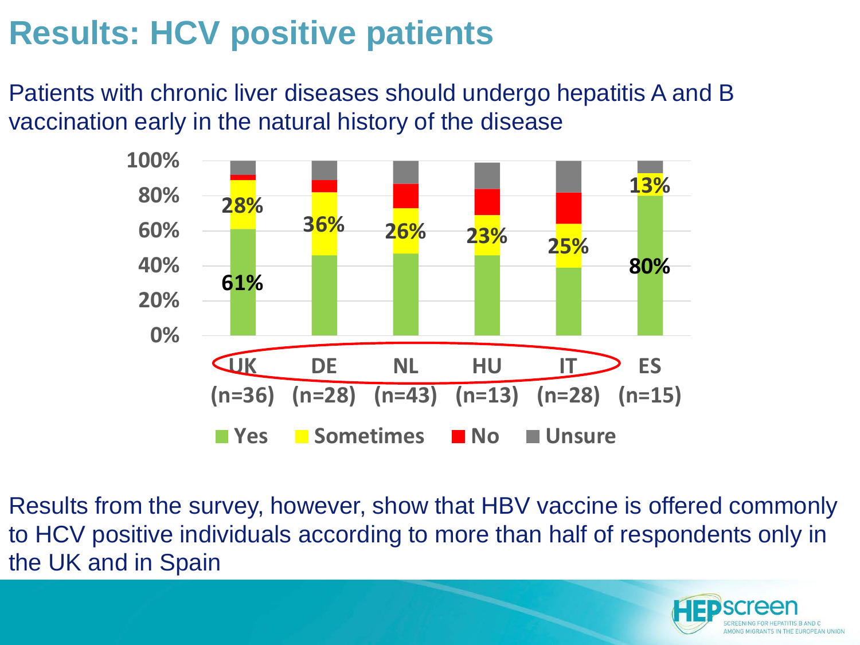#### **Results: HCV positive patients**

Patients with chronic liver diseases should undergo hepatitis A and B vaccination early in the natural history of the disease



Results from the survey, however, show that HBV vaccine is offered commonly to HCV positive individuals according to more than half of respondents only in the UK and in Spain

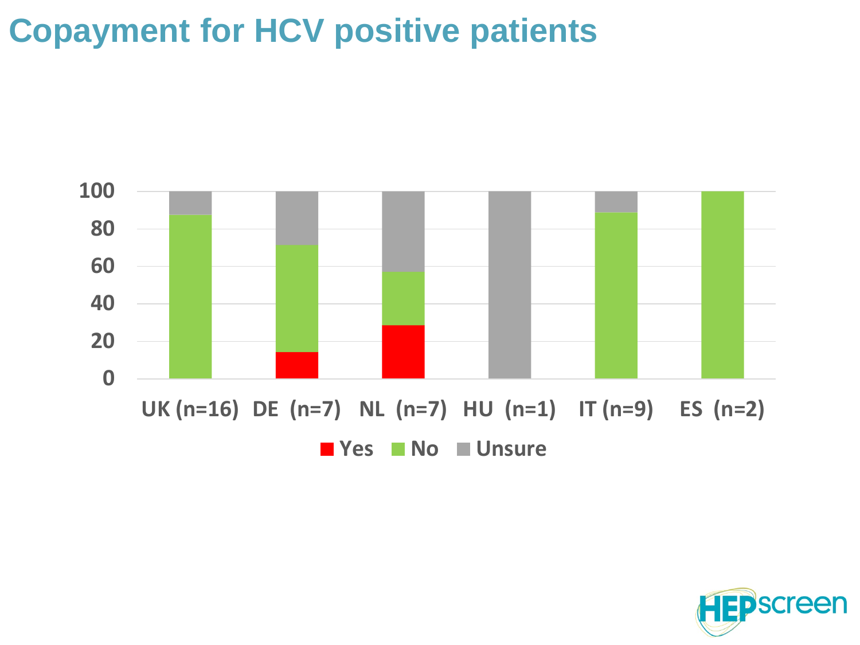#### **Copayment for HCV positive patients**



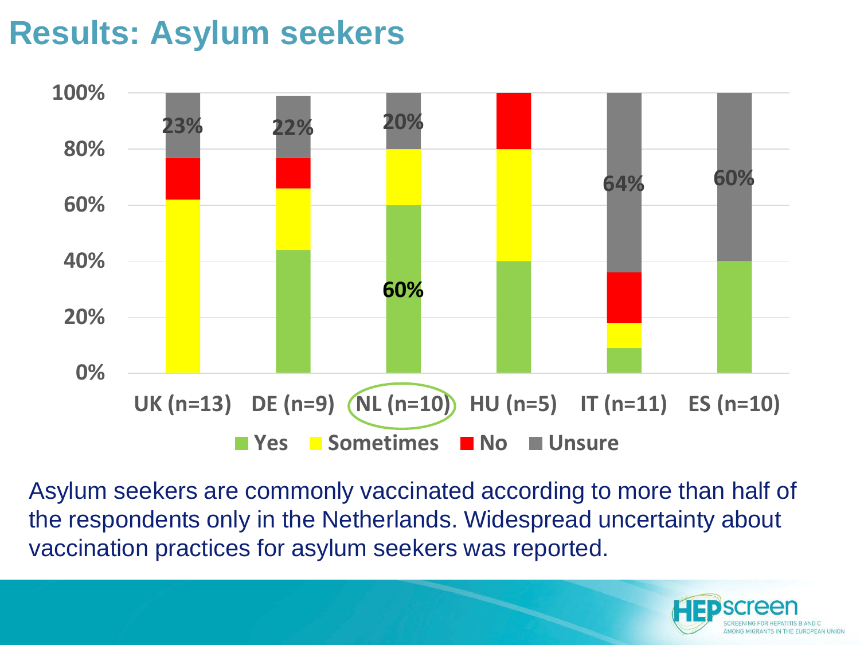#### **Results: Asylum seekers**



Asylum seekers are commonly vaccinated according to more than half of the respondents only in the Netherlands. Widespread uncertainty about vaccination practices for asylum seekers was reported.

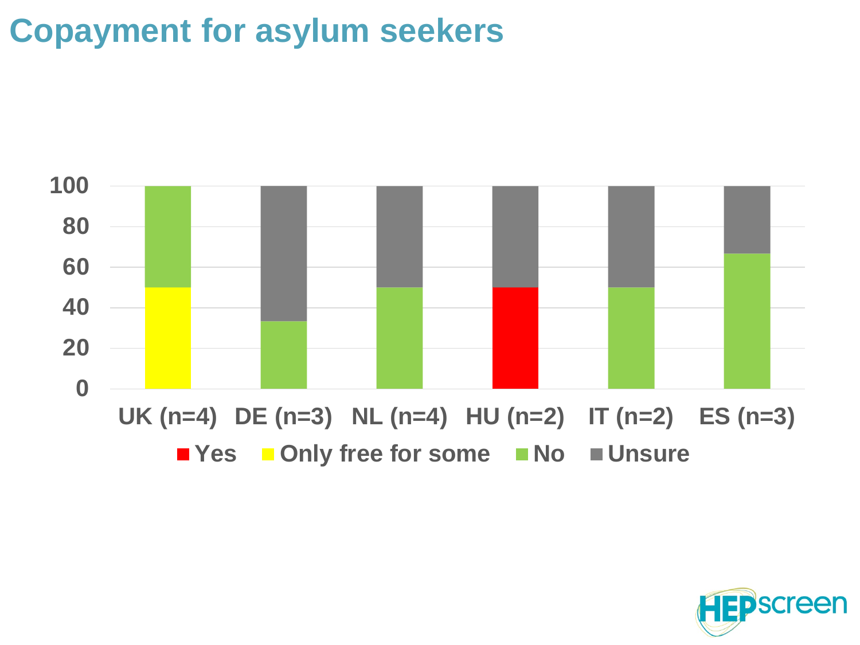### **Copayment for asylum seekers**



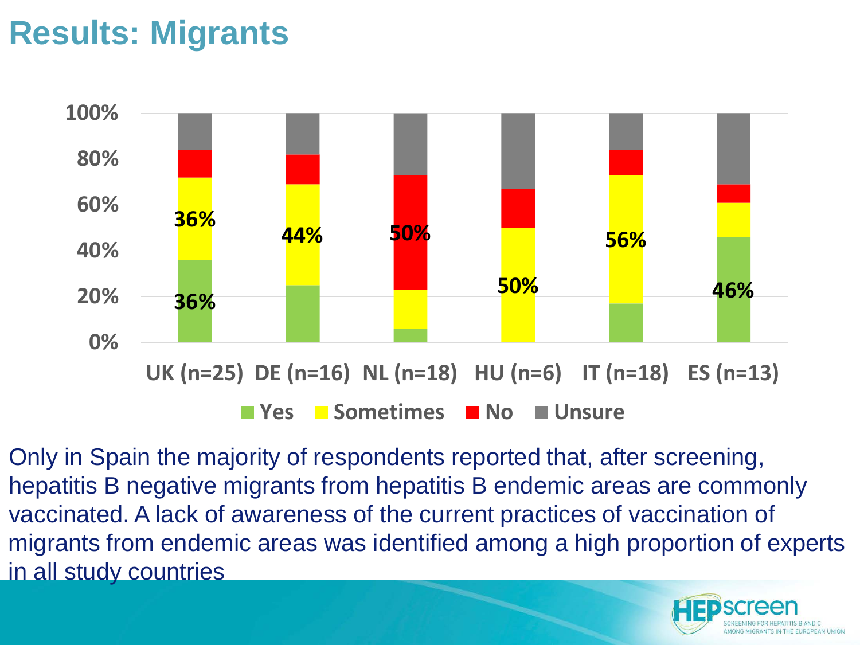#### **Results: Migrants**



Only in Spain the majority of respondents reported that, after screening, hepatitis B negative migrants from hepatitis B endemic areas are commonly vaccinated. A lack of awareness of the current practices of vaccination of migrants from endemic areas was identified among a high proportion of experts in all study countries

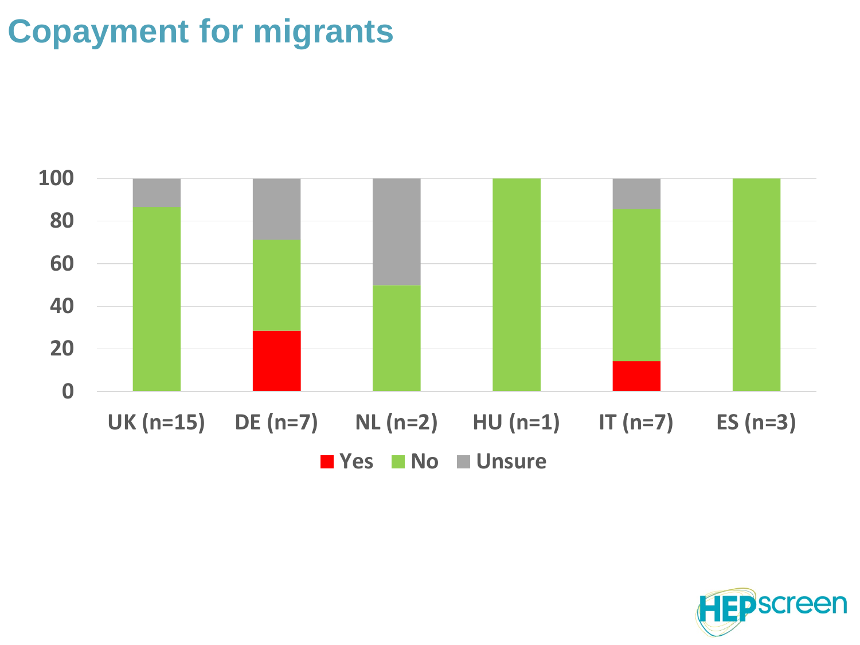#### **Copayment for migrants**



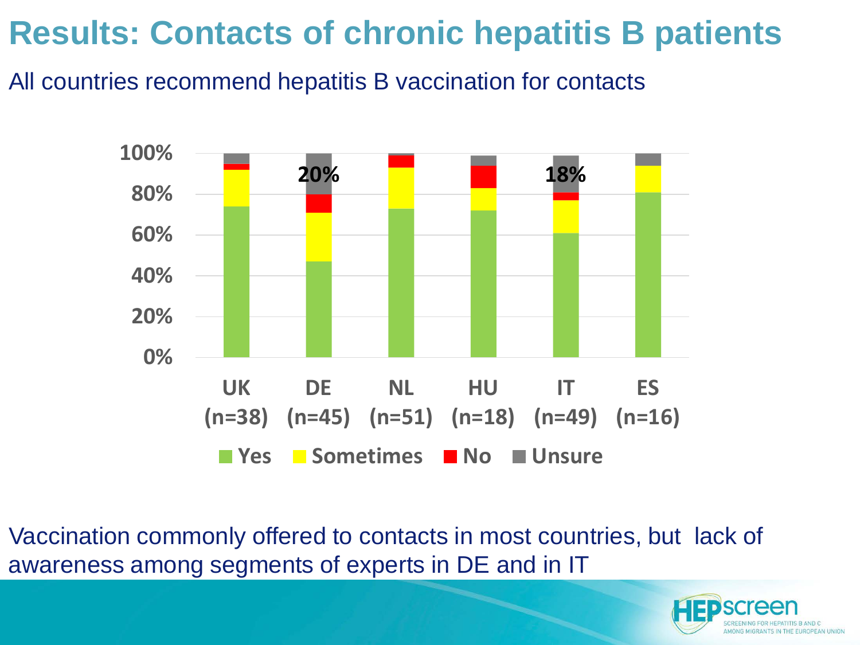#### **Results: Contacts of chronic hepatitis B patients**

All countries recommend hepatitis B vaccination for contacts



Vaccination commonly offered to contacts in most countries, but lack of awareness among segments of experts in DE and in IT

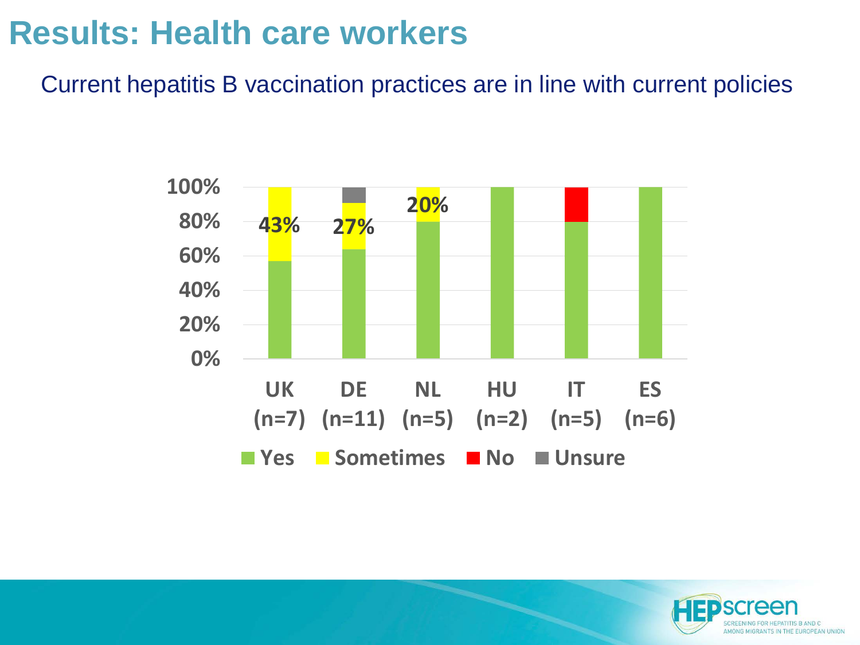#### **Results: Health care workers**

Current hepatitis B vaccination practices are in line with current policies



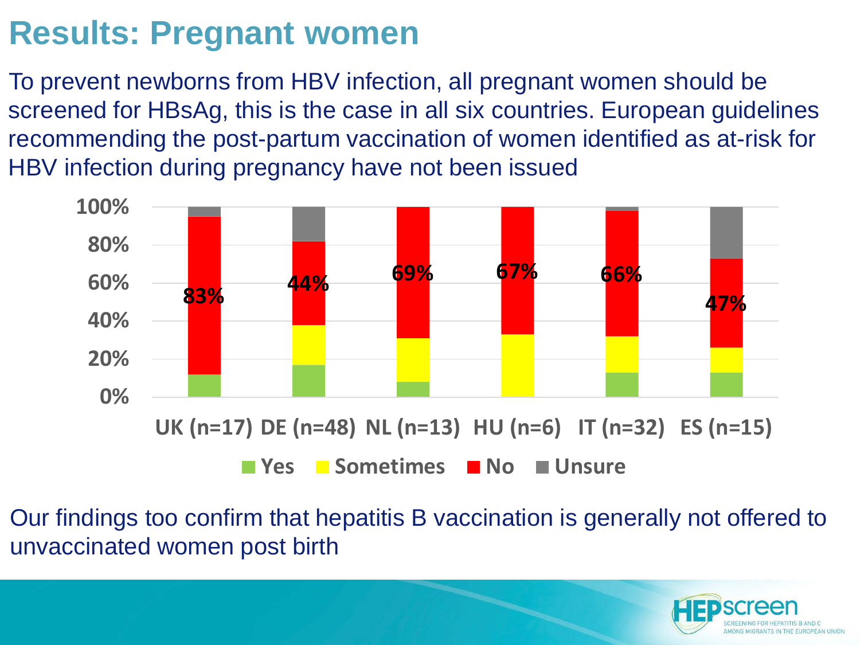#### **Results: Pregnant women**

To prevent newborns from HBV infection, all pregnant women should be screened for HBsAg, this is the case in all six countries. European guidelines recommending the post-partum vaccination of women identified as at-risk for HBV infection during pregnancy have not been issued



Our findings too confirm that hepatitis B vaccination is generally not offered to unvaccinated women post birth

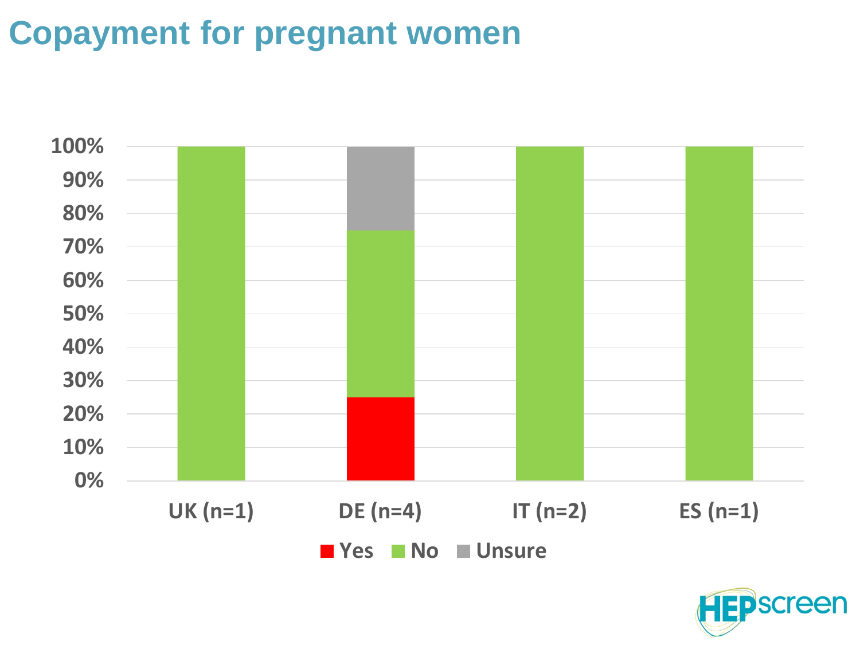# **Copayment for pregnant women**



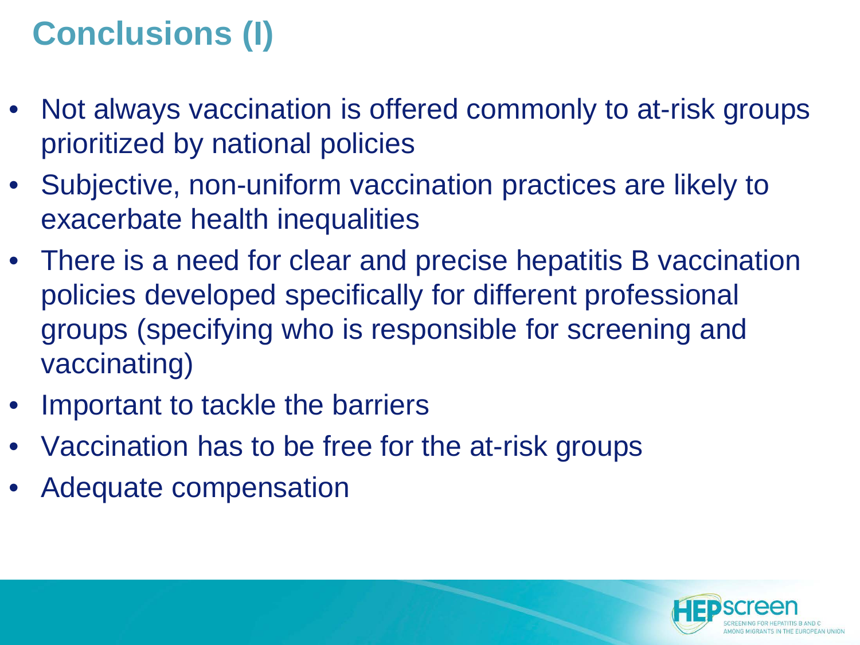# **Conclusions (I)**

- Not always vaccination is offered commonly to at-risk groups prioritized by national policies
- Subjective, non-uniform vaccination practices are likely to exacerbate health inequalities
- There is a need for clear and precise hepatitis B vaccination policies developed specifically for different professional groups (specifying who is responsible for screening and vaccinating)
- Important to tackle the barriers
- Vaccination has to be free for the at-risk groups
- Adequate compensation

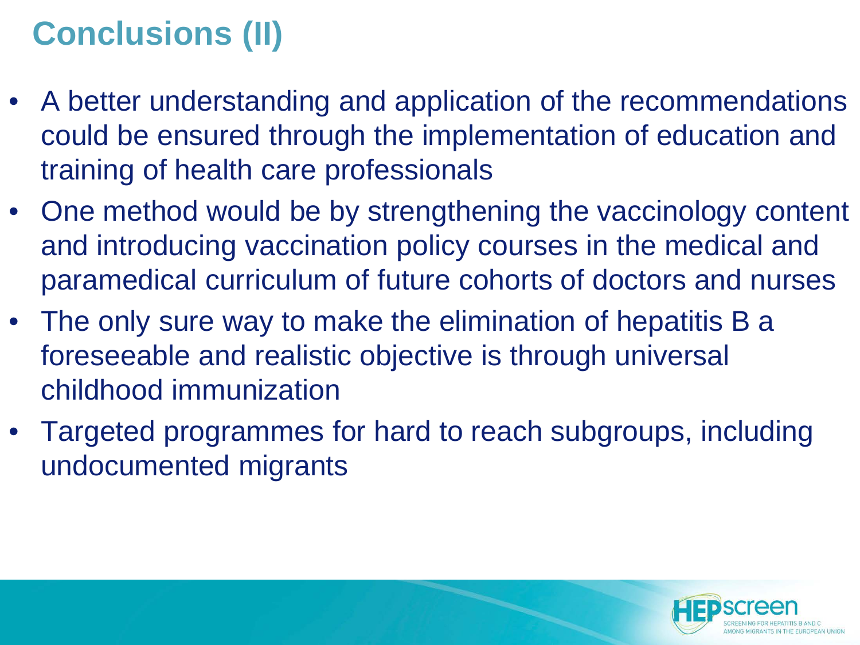# **Conclusions (II)**

- A better understanding and application of the recommendations could be ensured through the implementation of education and training of health care professionals
- One method would be by strengthening the vaccinology content and introducing vaccination policy courses in the medical and paramedical curriculum of future cohorts of doctors and nurses
- The only sure way to make the elimination of hepatitis B a foreseeable and realistic objective is through universal childhood immunization
- Targeted programmes for hard to reach subgroups, including undocumented migrants

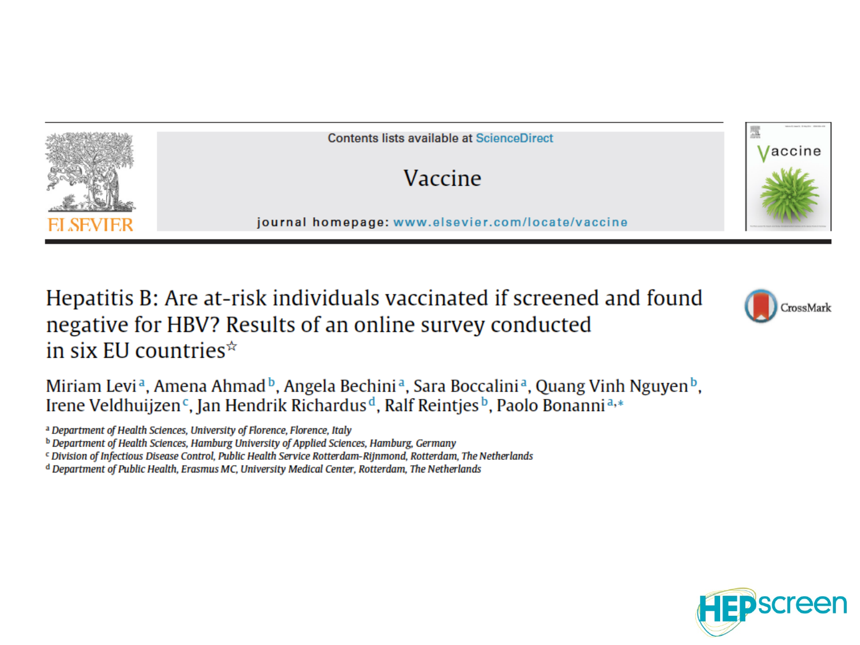

Hepatitis B: Are at-risk individuals vaccinated if screened and found negative for HBV? Results of an online survey conducted in six EU countries $\hat{z}$ 

Miriam Levi<sup>a</sup>, Amena Ahmad<sup>b</sup>, Angela Bechini<sup>a</sup>, Sara Boccalini<sup>a</sup>, Quang Vinh Nguyen<sup>b</sup>, Irene Veldhuijzen<sup>c</sup>, Jan Hendrik Richardus<sup>d</sup>, Ralf Reintjes<sup>b</sup>, Paolo Bonanni<sup>a,\*</sup>

a Department of Health Sciences, University of Florence, Florence, Italy

<sup>b</sup> Department of Health Sciences, Hamburg University of Applied Sciences, Hamburg, Germany

<sup>c</sup> Division of Infectious Disease Control, Public Health Service Rotterdam-Rijnmond, Rotterdam, The Netherlands

<sup>d</sup> Department of Public Health, Erasmus MC, University Medical Center, Rotterdam, The Netherlands



CrossMark